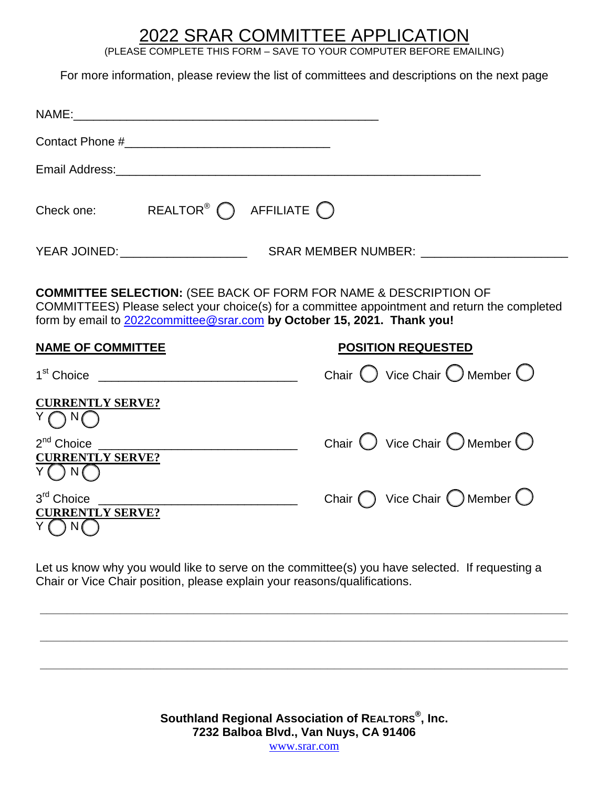## 2022 SRAR COMMITTEE APPLICATION

(PLEASE COMPLETE THIS FORM – SAVE TO YOUR COMPUTER BEFORE EMAILING)

For more information, please review the list of committees and descriptions on the next page

| Email Address: 2008. 2009. 2009. 2010. 2010. 2010. 2010. 2010. 2010. 2010. 2010. 2010. 2010. 2010. 2010. 2010                                                                                                                                           |  |  |  |                                                          |
|---------------------------------------------------------------------------------------------------------------------------------------------------------------------------------------------------------------------------------------------------------|--|--|--|----------------------------------------------------------|
| Check one: REALTOR <sup>®</sup> $\bigcap$ AFFILIATE $\bigcap$                                                                                                                                                                                           |  |  |  |                                                          |
|                                                                                                                                                                                                                                                         |  |  |  |                                                          |
| <b>COMMITTEE SELECTION: (SEE BACK OF FORM FOR NAME &amp; DESCRIPTION OF</b><br>COMMITTEES) Please select your choice(s) for a committee appointment and return the completed<br>form by email to 2022committee@srar.com by October 15, 2021. Thank you! |  |  |  |                                                          |
| <b>NAME OF COMMITTEE</b>                                                                                                                                                                                                                                |  |  |  | <b>POSITION REQUESTED</b>                                |
| 1 <sup>st</sup> Choice <u>________________________________</u>                                                                                                                                                                                          |  |  |  | Chair $\bigcirc$ Vice Chair $\bigcirc$ Member $\bigcirc$ |
| <b>CURRENTLY SERVE?</b><br>$Y \bigcap N \bigcap$                                                                                                                                                                                                        |  |  |  |                                                          |
| <b>CURRENTLY SERVE?</b><br>N()                                                                                                                                                                                                                          |  |  |  | Chair $\bigcirc$ Vice Chair $\bigcirc$ Member $\bigcirc$ |
| 3 <sup>rd</sup> Choice<br><b>CURRENTLY SERVE?</b>                                                                                                                                                                                                       |  |  |  | Chair $\bigcap$ Vice Chair $\bigcap$ Member $\bigcup$    |
|                                                                                                                                                                                                                                                         |  |  |  |                                                          |

Let us know why you would like to serve on the committee(s) you have selected. If requesting a Chair or Vice Chair position, please explain your reasons/qualifications.

**\_\_\_\_\_\_\_\_\_\_\_\_\_\_\_\_\_\_\_\_\_\_\_\_\_\_\_\_\_\_\_\_\_\_\_\_\_\_\_\_\_\_\_\_\_\_\_\_\_\_\_\_\_\_\_\_\_\_\_\_\_\_\_\_\_\_\_\_\_\_\_\_\_\_\_\_\_\_\_** 

**\_\_\_\_\_\_\_\_\_\_\_\_\_\_\_\_\_\_\_\_\_\_\_\_\_\_\_\_\_\_\_\_\_\_\_\_\_\_\_\_\_\_\_\_\_\_\_\_\_\_\_\_\_\_\_\_\_\_\_\_\_\_\_\_\_\_\_\_\_\_\_\_\_\_\_\_\_\_\_** 

**\_\_\_\_\_\_\_\_\_\_\_\_\_\_\_\_\_\_\_\_\_\_\_\_\_\_\_\_\_\_\_\_\_\_\_\_\_\_\_\_\_\_\_\_\_\_\_\_\_\_\_\_\_\_\_\_\_\_\_\_\_\_\_\_\_\_\_\_\_\_\_\_\_\_\_\_\_\_\_** 

**Southland Regional Association of REALTORS®, Inc. 7232 Balboa Blvd., Van Nuys, CA 91406** 

[www.srar.com](http://www.srar.com/)